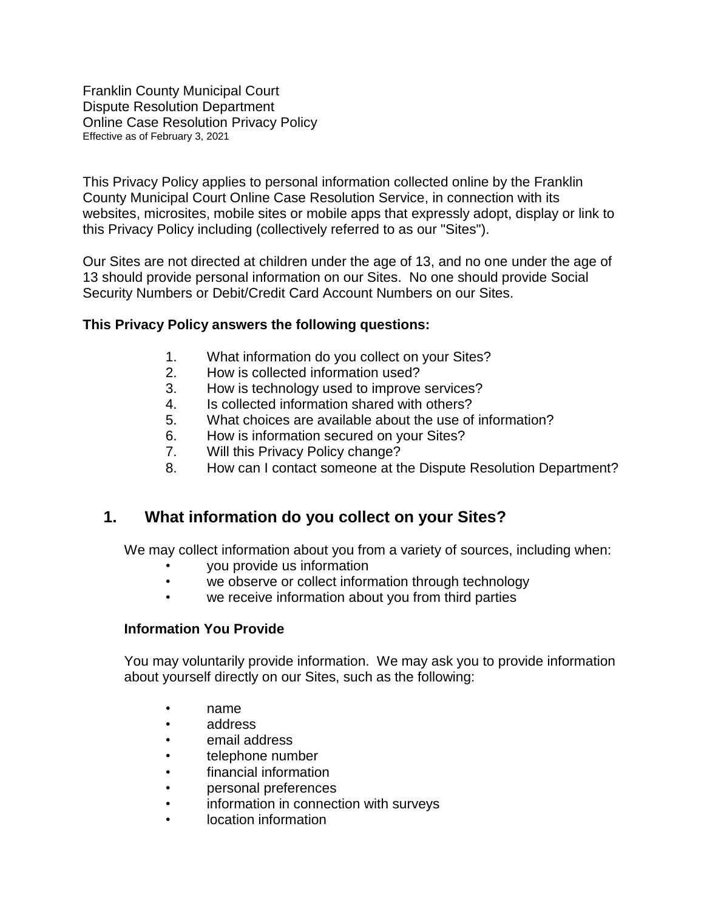Franklin County Municipal Court Dispute Resolution Department Online Case Resolution Privacy Policy Effective as of February 3, 2021

This Privacy Policy applies to personal information collected online by the Franklin County Municipal Court Online Case Resolution Service, in connection with its websites, microsites, mobile sites or mobile apps that expressly adopt, display or link to this Privacy Policy including (collectively referred to as our "Sites").

Our Sites are not directed at children under the age of 13, and no one under the age of 13 should provide personal information on our Sites. No one should provide Social Security Numbers or Debit/Credit Card Account Numbers on our Sites.

#### **This Privacy Policy answers the following questions:**

- 1. What information do you collect on your Sites?
- 2. How is collected information used?
- 3. How is technology used to improve services?
- 4. Is collected information shared with others?
- 5. What choices are available about the use of information?
- 6. How is information secured on your Sites?
- 7. Will this Privacy Policy change?
- 8. How can I contact someone at the Dispute Resolution Department?

### **1. What information do you collect on your Sites?**

We may collect information about you from a variety of sources, including when:

- you provide us information
- we observe or collect information through technology
- we receive information about you from third parties

#### **Information You Provide**

You may voluntarily provide information. We may ask you to provide information about yourself directly on our Sites, such as the following:

- name
- address
- email address
- telephone number
- financial information
- personal preferences
- information in connection with surveys
- location information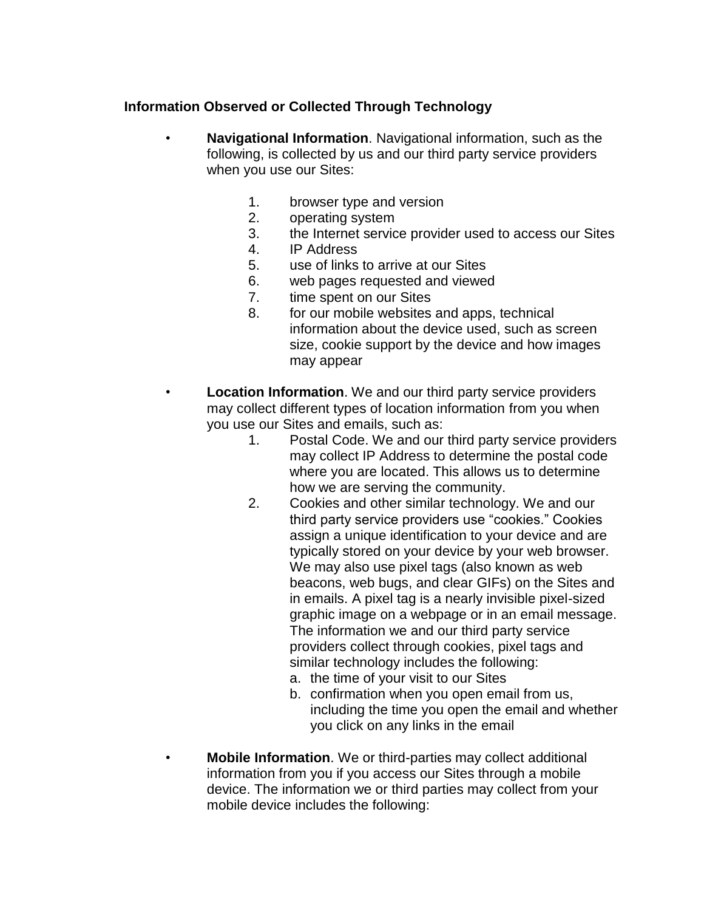#### **Information Observed or Collected Through Technology**

- **Navigational Information**. Navigational information, such as the following, is collected by us and our third party service providers when you use our Sites:
	- 1. browser type and version
	- 2. operating system
	- 3. the Internet service provider used to access our Sites
	- 4. IP Address
	- 5. use of links to arrive at our Sites
	- 6. web pages requested and viewed
	- 7. time spent on our Sites
	- 8. for our mobile websites and apps, technical information about the device used, such as screen size, cookie support by the device and how images may appear
	- **Location Information**. We and our third party service providers may collect different types of location information from you when you use our Sites and emails, such as:
		- 1. Postal Code. We and our third party service providers may collect IP Address to determine the postal code where you are located. This allows us to determine how we are serving the community.
		- 2. Cookies and other similar technology. We and our third party service providers use "cookies." Cookies assign a unique identification to your device and are typically stored on your device by your web browser. We may also use pixel tags (also known as web beacons, web bugs, and clear GIFs) on the Sites and in emails. A pixel tag is a nearly invisible pixel-sized graphic image on a webpage or in an email message. The information we and our third party service providers collect through cookies, pixel tags and similar technology includes the following:
			- a. the time of your visit to our Sites
			- b. confirmation when you open email from us, including the time you open the email and whether you click on any links in the email
	- **Mobile Information**. We or third-parties may collect additional information from you if you access our Sites through a mobile device. The information we or third parties may collect from your mobile device includes the following: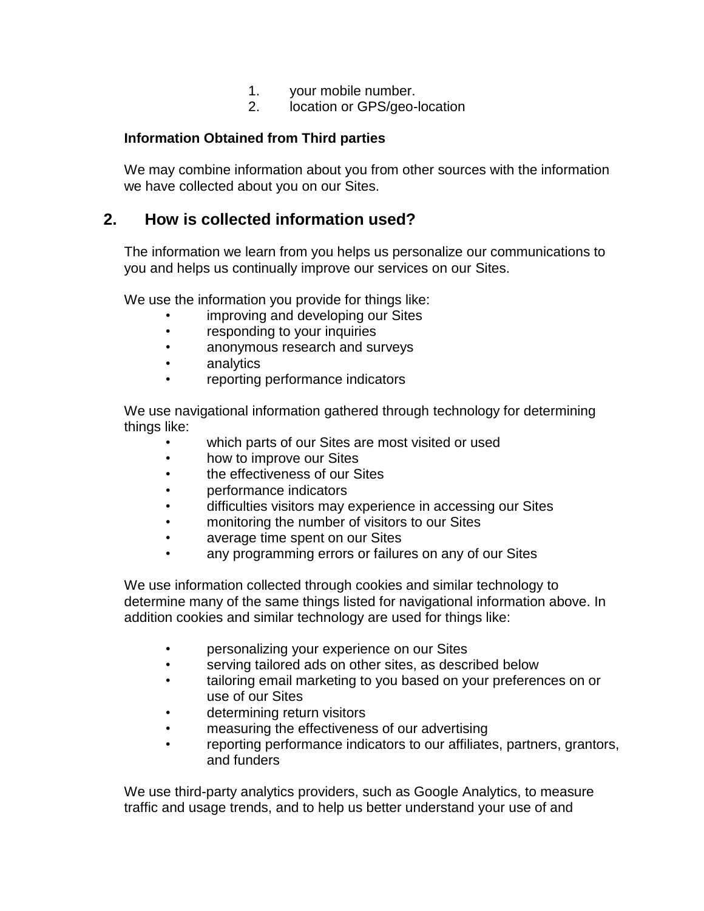- 1. your mobile number.
- 2. location or GPS/geo-location

#### **Information Obtained from Third parties**

We may combine information about you from other sources with the information we have collected about you on our Sites.

### **2. How is collected information used?**

The information we learn from you helps us personalize our communications to you and helps us continually improve our services on our Sites.

We use the information you provide for things like:

- improving and developing our Sites
- responding to your inquiries
- anonymous research and surveys
- analytics
- reporting performance indicators

We use navigational information gathered through technology for determining things like:

- which parts of our Sites are most visited or used
- how to improve our Sites
- the effectiveness of our Sites
- performance indicators
- difficulties visitors may experience in accessing our Sites
- monitoring the number of visitors to our Sites
- average time spent on our Sites
- any programming errors or failures on any of our Sites

We use information collected through cookies and similar technology to determine many of the same things listed for navigational information above. In addition cookies and similar technology are used for things like:

- personalizing your experience on our Sites
- serving tailored ads on other sites, as described below
- tailoring email marketing to you based on your preferences on or use of our Sites
- determining return visitors
- measuring the effectiveness of our advertising
- reporting performance indicators to our affiliates, partners, grantors, and funders

We use third-party analytics providers, such as Google Analytics, to measure traffic and usage trends, and to help us better understand your use of and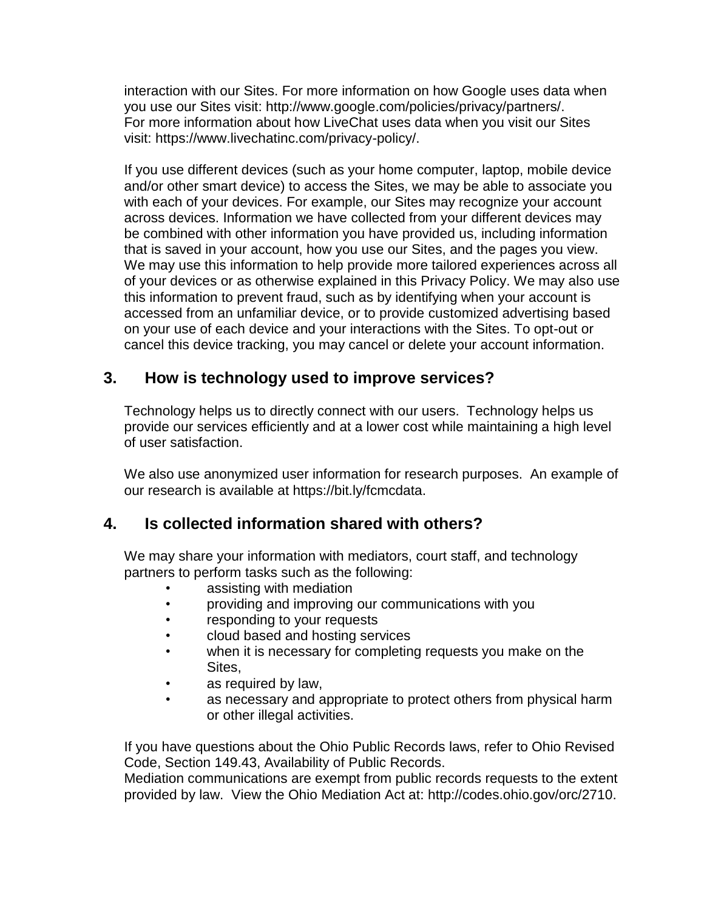interaction with our Sites. For more information on how Google uses data when you use our Sites visit: http://www.google.com/policies/privacy/partners/. For more information about how LiveChat uses data when you visit our Sites visit: https://www.livechatinc.com/privacy-policy/.

If you use different devices (such as your home computer, laptop, mobile device and/or other smart device) to access the Sites, we may be able to associate you with each of your devices. For example, our Sites may recognize your account across devices. Information we have collected from your different devices may be combined with other information you have provided us, including information that is saved in your account, how you use our Sites, and the pages you view. We may use this information to help provide more tailored experiences across all of your devices or as otherwise explained in this Privacy Policy. We may also use this information to prevent fraud, such as by identifying when your account is accessed from an unfamiliar device, or to provide customized advertising based on your use of each device and your interactions with the Sites. To opt-out or cancel this device tracking, you may cancel or delete your account information.

# **3. How is technology used to improve services?**

Technology helps us to directly connect with our users. Technology helps us provide our services efficiently and at a lower cost while maintaining a high level of user satisfaction.

We also use anonymized user information for research purposes. An example of our research is available at https://bit.ly/fcmcdata.

# **4. Is collected information shared with others?**

We may share your information with mediators, court staff, and technology partners to perform tasks such as the following:

- assisting with mediation
- providing and improving our communications with you
- responding to your requests
- cloud based and hosting services
- when it is necessary for completing requests you make on the Sites,
- as required by law,
- as necessary and appropriate to protect others from physical harm or other illegal activities.

If you have questions about the Ohio Public Records laws, refer to Ohio Revised Code, Section 149.43, Availability of Public Records.

Mediation communications are exempt from public records requests to the extent provided by law. View the Ohio Mediation Act at: http://codes.ohio.gov/orc/2710.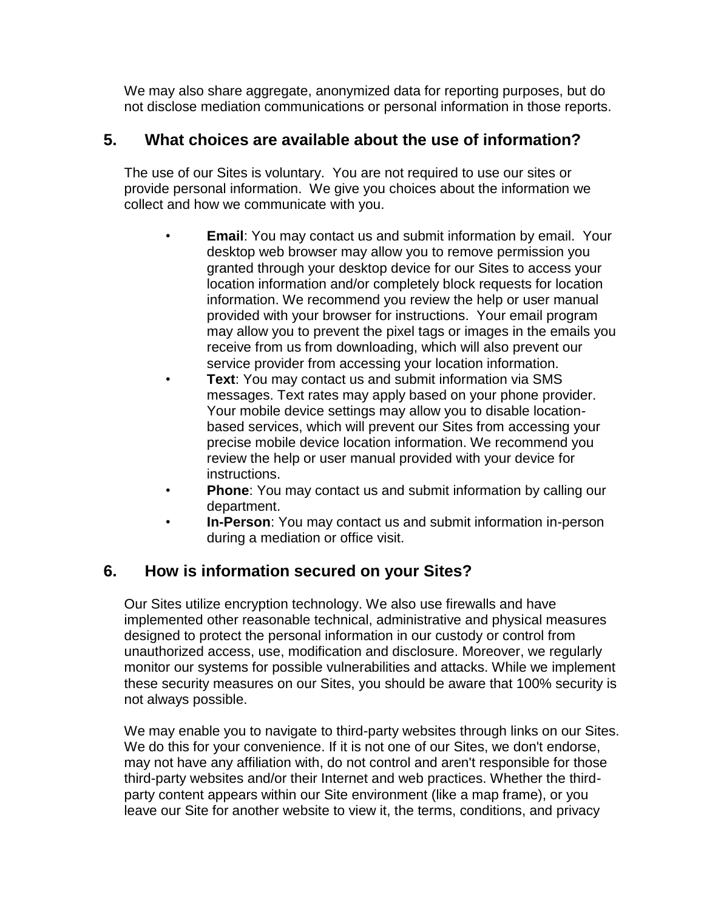We may also share aggregate, anonymized data for reporting purposes, but do not disclose mediation communications or personal information in those reports.

# **5. What choices are available about the use of information?**

The use of our Sites is voluntary. You are not required to use our sites or provide personal information. We give you choices about the information we collect and how we communicate with you.

- **Email**: You may contact us and submit information by email. Your desktop web browser may allow you to remove permission you granted through your desktop device for our Sites to access your location information and/or completely block requests for location information. We recommend you review the help or user manual provided with your browser for instructions. Your email program may allow you to prevent the pixel tags or images in the emails you receive from us from downloading, which will also prevent our service provider from accessing your location information.
- **Text**: You may contact us and submit information via SMS messages. Text rates may apply based on your phone provider. Your mobile device settings may allow you to disable locationbased services, which will prevent our Sites from accessing your precise mobile device location information. We recommend you review the help or user manual provided with your device for instructions.
- **Phone**: You may contact us and submit information by calling our department.
- **In-Person**: You may contact us and submit information in-person during a mediation or office visit.

# **6. How is information secured on your Sites?**

Our Sites utilize encryption technology. We also use firewalls and have implemented other reasonable technical, administrative and physical measures designed to protect the personal information in our custody or control from unauthorized access, use, modification and disclosure. Moreover, we regularly monitor our systems for possible vulnerabilities and attacks. While we implement these security measures on our Sites, you should be aware that 100% security is not always possible.

We may enable you to navigate to third-party websites through links on our Sites. We do this for your convenience. If it is not one of our Sites, we don't endorse, may not have any affiliation with, do not control and aren't responsible for those third-party websites and/or their Internet and web practices. Whether the thirdparty content appears within our Site environment (like a map frame), or you leave our Site for another website to view it, the terms, conditions, and privacy